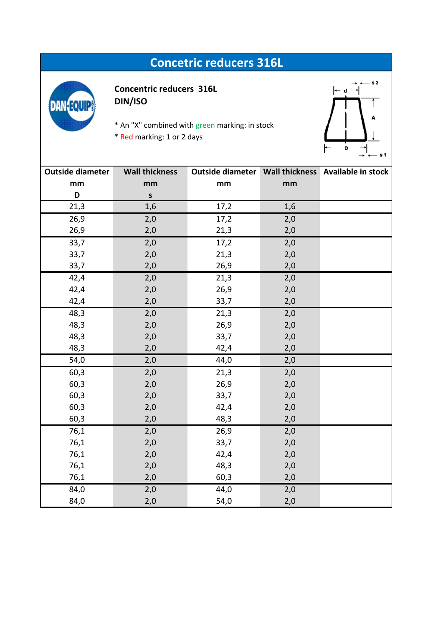## **Concetric reducers 316L**



**Concentric reducers 316L DIN/ISO**

- \* An "X" combined with green marking: in stock
- \* Red marking: 1 or 2 days



| <b>Outside diameter</b> | <b>Wall thickness</b> |      |     | Outside diameter   Wall thickness   Available in stock |
|-------------------------|-----------------------|------|-----|--------------------------------------------------------|
| mm                      | mm                    | mm   | mm  |                                                        |
| D                       | ${\sf s}$             |      |     |                                                        |
| 21,3                    | 1,6                   | 17,2 | 1,6 |                                                        |
| 26,9                    | 2,0                   | 17,2 | 2,0 |                                                        |
| 26,9                    | 2,0                   | 21,3 | 2,0 |                                                        |
| 33,7                    | 2,0                   | 17,2 | 2,0 |                                                        |
| 33,7                    | 2,0                   | 21,3 | 2,0 |                                                        |
| 33,7                    | 2,0                   | 26,9 | 2,0 |                                                        |
| 42,4                    | 2,0                   | 21,3 | 2,0 |                                                        |
| 42,4                    | 2,0                   | 26,9 | 2,0 |                                                        |
| 42,4                    | 2,0                   | 33,7 | 2,0 |                                                        |
| 48,3                    | 2,0                   | 21,3 | 2,0 |                                                        |
| 48,3                    | 2,0                   | 26,9 | 2,0 |                                                        |
| 48,3                    | 2,0                   | 33,7 | 2,0 |                                                        |
| 48,3                    | 2,0                   | 42,4 | 2,0 |                                                        |
| 54,0                    | 2,0                   | 44,0 | 2,0 |                                                        |
| 60,3                    | 2,0                   | 21,3 | 2,0 |                                                        |
| 60,3                    | 2,0                   | 26,9 | 2,0 |                                                        |
| 60,3                    | 2,0                   | 33,7 | 2,0 |                                                        |
| 60,3                    | 2,0                   | 42,4 | 2,0 |                                                        |
| 60,3                    | 2,0                   | 48,3 | 2,0 |                                                        |
| 76,1                    | 2,0                   | 26,9 | 2,0 |                                                        |
| 76,1                    | 2,0                   | 33,7 | 2,0 |                                                        |
| 76,1                    | 2,0                   | 42,4 | 2,0 |                                                        |
| 76,1                    | 2,0                   | 48,3 | 2,0 |                                                        |
| 76,1                    | 2,0                   | 60,3 | 2,0 |                                                        |
| 84,0                    | 2,0                   | 44,0 | 2,0 |                                                        |
| 84,0                    | 2,0                   | 54,0 | 2,0 |                                                        |